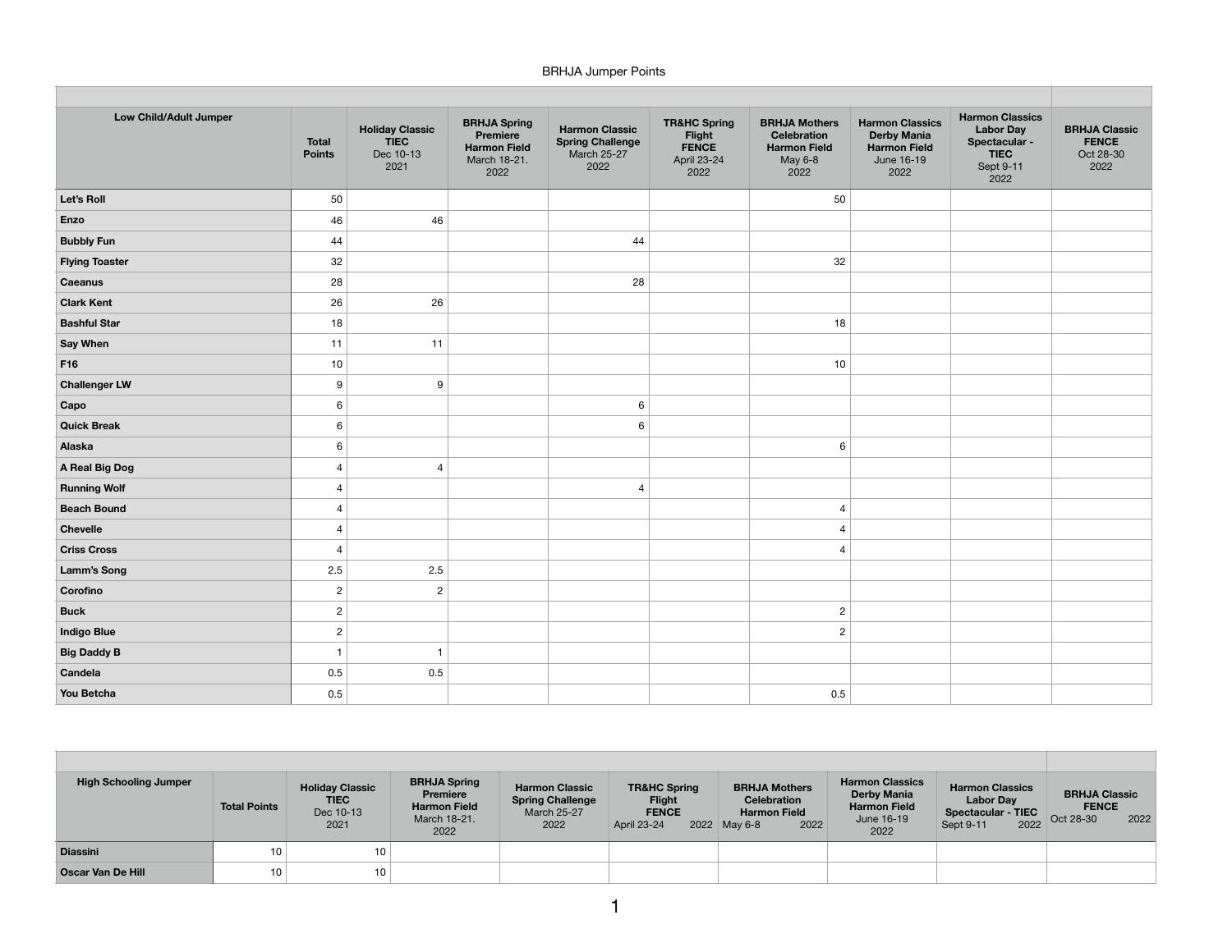## BRHJA Jumper Points

| Low Child/Adult Jumper | <b>Total</b><br><b>Points</b> | <b>Holiday Classic</b><br><b>TIEC</b><br>Dec 10-13<br>2021 | <b>BRHJA Spring</b><br>Premiere<br><b>Harmon Field</b><br>March 18-21.<br>2022 | <b>Harmon Classic</b><br><b>Spring Challenge</b><br><b>March 25-27</b><br>2022 | <b>TR&amp;HC Spring</b><br>Flight<br><b>FENCE</b><br>April 23-24<br>2022 | <b>BRHJA Mothers</b><br>Celebration<br><b>Harmon Field</b><br>May 6-8<br>2022 | <b>Harmon Classics</b><br><b>Derby Mania</b><br><b>Harmon Field</b><br>June 16-19<br>2022 | <b>Harmon Classics</b><br><b>Labor Day</b><br>Spectacular -<br><b>TIEC</b><br>Sept 9-11<br>2022 | <b>BRHJA Classic</b><br><b>FENCE</b><br>Oct 28-30<br>2022 |
|------------------------|-------------------------------|------------------------------------------------------------|--------------------------------------------------------------------------------|--------------------------------------------------------------------------------|--------------------------------------------------------------------------|-------------------------------------------------------------------------------|-------------------------------------------------------------------------------------------|-------------------------------------------------------------------------------------------------|-----------------------------------------------------------|
| Let's Roll             | 50                            |                                                            |                                                                                |                                                                                |                                                                          | 50                                                                            |                                                                                           |                                                                                                 |                                                           |
| Enzo                   | 46                            | 46                                                         |                                                                                |                                                                                |                                                                          |                                                                               |                                                                                           |                                                                                                 |                                                           |
| <b>Bubbly Fun</b>      | 44                            |                                                            |                                                                                | 44                                                                             |                                                                          |                                                                               |                                                                                           |                                                                                                 |                                                           |
| <b>Flying Toaster</b>  | 32                            |                                                            |                                                                                |                                                                                |                                                                          | 32                                                                            |                                                                                           |                                                                                                 |                                                           |
| Caeanus                | 28                            |                                                            |                                                                                | 28                                                                             |                                                                          |                                                                               |                                                                                           |                                                                                                 |                                                           |
| <b>Clark Kent</b>      | 26                            | 26                                                         |                                                                                |                                                                                |                                                                          |                                                                               |                                                                                           |                                                                                                 |                                                           |
| <b>Bashful Star</b>    | 18                            |                                                            |                                                                                |                                                                                |                                                                          | 18                                                                            |                                                                                           |                                                                                                 |                                                           |
| <b>Say When</b>        | 11                            | 11                                                         |                                                                                |                                                                                |                                                                          |                                                                               |                                                                                           |                                                                                                 |                                                           |
| F16                    | 10                            |                                                            |                                                                                |                                                                                |                                                                          | $10$                                                                          |                                                                                           |                                                                                                 |                                                           |
| <b>Challenger LW</b>   | 9                             | 9                                                          |                                                                                |                                                                                |                                                                          |                                                                               |                                                                                           |                                                                                                 |                                                           |
| Capo                   | 6                             |                                                            |                                                                                | 6                                                                              |                                                                          |                                                                               |                                                                                           |                                                                                                 |                                                           |
| <b>Quick Break</b>     | 6                             |                                                            |                                                                                | 6                                                                              |                                                                          |                                                                               |                                                                                           |                                                                                                 |                                                           |
| Alaska                 | 6                             |                                                            |                                                                                |                                                                                |                                                                          | $\,6\,$                                                                       |                                                                                           |                                                                                                 |                                                           |
| A Real Big Dog         | $\overline{4}$                | $\overline{4}$                                             |                                                                                |                                                                                |                                                                          |                                                                               |                                                                                           |                                                                                                 |                                                           |
| <b>Running Wolf</b>    | $\overline{4}$                |                                                            |                                                                                | $\overline{4}$                                                                 |                                                                          |                                                                               |                                                                                           |                                                                                                 |                                                           |
| <b>Beach Bound</b>     | $\overline{4}$                |                                                            |                                                                                |                                                                                |                                                                          | $\overline{4}$                                                                |                                                                                           |                                                                                                 |                                                           |
| Chevelle               | $\overline{4}$                |                                                            |                                                                                |                                                                                |                                                                          | $\overline{4}$                                                                |                                                                                           |                                                                                                 |                                                           |
| <b>Criss Cross</b>     | $\overline{4}$                |                                                            |                                                                                |                                                                                |                                                                          | $\overline{4}$                                                                |                                                                                           |                                                                                                 |                                                           |
| <b>Lamm's Song</b>     | 2.5                           | 2.5                                                        |                                                                                |                                                                                |                                                                          |                                                                               |                                                                                           |                                                                                                 |                                                           |
| Corofino               | $\overline{c}$                | $\overline{c}$                                             |                                                                                |                                                                                |                                                                          |                                                                               |                                                                                           |                                                                                                 |                                                           |
| <b>Buck</b>            | $\overline{c}$                |                                                            |                                                                                |                                                                                |                                                                          | $\overline{c}$                                                                |                                                                                           |                                                                                                 |                                                           |
| <b>Indigo Blue</b>     | $\overline{2}$                |                                                            |                                                                                |                                                                                |                                                                          | $\overline{c}$                                                                |                                                                                           |                                                                                                 |                                                           |
| <b>Big Daddy B</b>     | $\overline{1}$                | $\overline{1}$                                             |                                                                                |                                                                                |                                                                          |                                                                               |                                                                                           |                                                                                                 |                                                           |
| Candela                | 0.5                           | 0.5                                                        |                                                                                |                                                                                |                                                                          |                                                                               |                                                                                           |                                                                                                 |                                                           |
| You Betcha             | 0.5                           |                                                            |                                                                                |                                                                                |                                                                          | 0.5                                                                           |                                                                                           |                                                                                                 |                                                           |

| <b>High Schooling Jumper</b> | <b>Total Points</b> | <b>Holiday Classic</b><br><b>TIEC</b><br>Dec 10-13<br>2021 | <b>BRHJA Spring</b><br>Premiere<br><b>Harmon Field</b><br>March 18-21.<br>2022 | <b>Harmon Classic</b><br><b>Spring Challenge</b><br>March 25-27<br>2022 | <b>TR&amp;HC Spring</b><br><b>Flight</b><br><b>FENCE</b><br>April 23-24 | <b>BRHJA Mothers</b><br><b>Celebration</b><br><b>Harmon Field</b><br>2022<br>2022 May 6-8 | <b>Harmon Classics</b><br><b>Derby Mania</b><br><b>Harmon Field</b><br>June 16-19<br>2022 | <b>Harmon Classics</b><br><b>Labor Day</b><br><b>Spectacular - TIEC</b><br>2022<br>Sept 9-11 | <b>BRHJA Classic</b><br><b>FENCE</b><br>2022<br>Oct 28-30 |
|------------------------------|---------------------|------------------------------------------------------------|--------------------------------------------------------------------------------|-------------------------------------------------------------------------|-------------------------------------------------------------------------|-------------------------------------------------------------------------------------------|-------------------------------------------------------------------------------------------|----------------------------------------------------------------------------------------------|-----------------------------------------------------------|
| <b>Diassini</b>              | 10                  | 10                                                         |                                                                                |                                                                         |                                                                         |                                                                                           |                                                                                           |                                                                                              |                                                           |
| <b>Oscar Van De Hill</b>     | 10 <sub>1</sub>     | 10                                                         |                                                                                |                                                                         |                                                                         |                                                                                           |                                                                                           |                                                                                              |                                                           |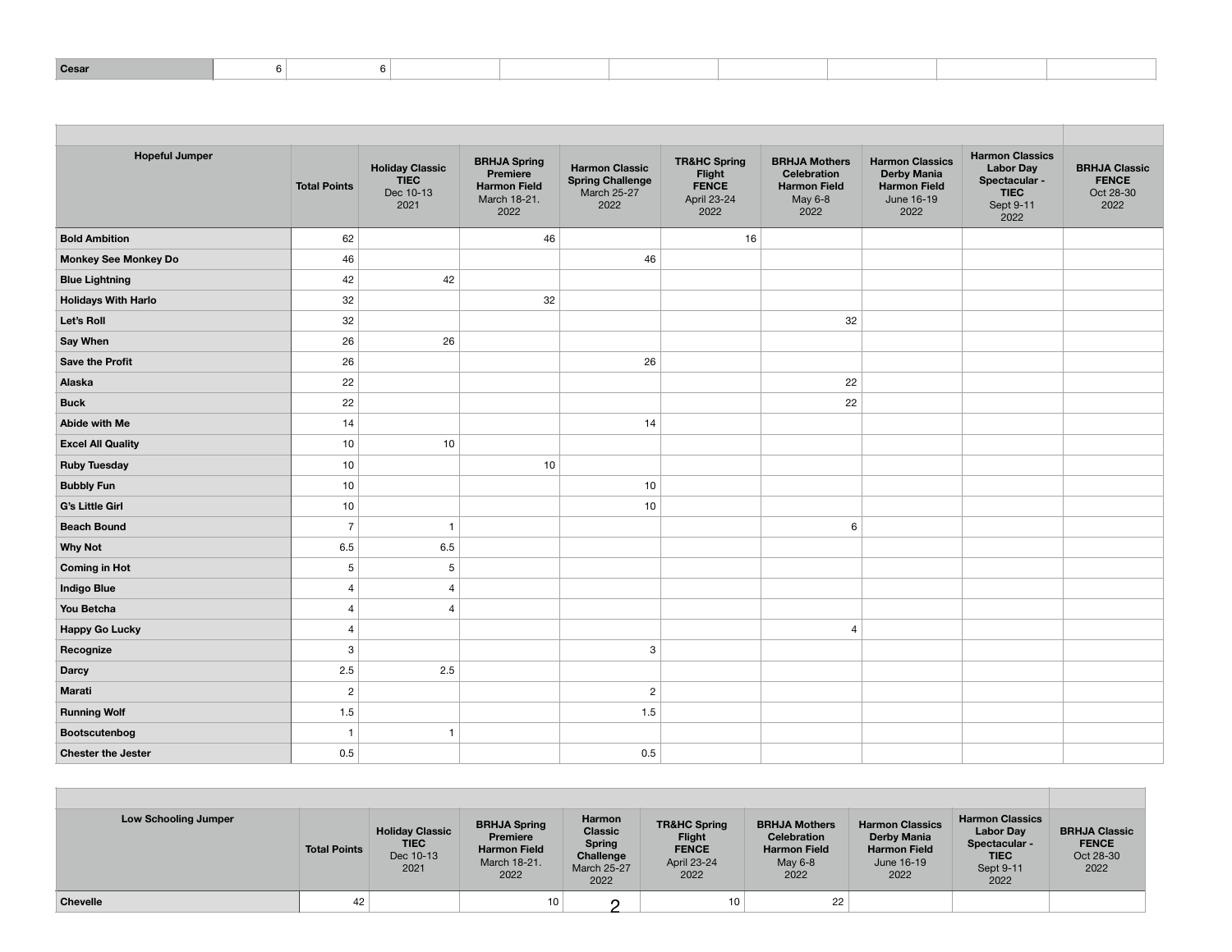|--|

| <b>Hopeful Jumper</b>       | <b>Total Points</b> | <b>Holiday Classic</b><br><b>TIEC</b><br>Dec 10-13<br>2021 | <b>BRHJA Spring</b><br>Premiere<br><b>Harmon Field</b><br>March 18-21.<br>2022 | <b>Harmon Classic</b><br><b>Spring Challenge</b><br><b>March 25-27</b><br>2022 | <b>TR&amp;HC Spring</b><br>Flight<br><b>FENCE</b><br>April 23-24<br>2022 | <b>BRHJA Mothers</b><br><b>Celebration</b><br><b>Harmon Field</b><br>May 6-8<br>2022 | <b>Harmon Classics</b><br><b>Derby Mania</b><br><b>Harmon Field</b><br>June 16-19<br>2022 | <b>Harmon Classics</b><br><b>Labor Day</b><br>Spectacular -<br><b>TIEC</b><br>Sept 9-11<br>2022 | <b>BRHJA Classic</b><br><b>FENCE</b><br>Oct 28-30<br>2022 |
|-----------------------------|---------------------|------------------------------------------------------------|--------------------------------------------------------------------------------|--------------------------------------------------------------------------------|--------------------------------------------------------------------------|--------------------------------------------------------------------------------------|-------------------------------------------------------------------------------------------|-------------------------------------------------------------------------------------------------|-----------------------------------------------------------|
| <b>Bold Ambition</b>        | 62                  |                                                            | 46                                                                             |                                                                                | 16                                                                       |                                                                                      |                                                                                           |                                                                                                 |                                                           |
| <b>Monkey See Monkey Do</b> | 46                  |                                                            |                                                                                | 46                                                                             |                                                                          |                                                                                      |                                                                                           |                                                                                                 |                                                           |
| <b>Blue Lightning</b>       | 42                  | 42                                                         |                                                                                |                                                                                |                                                                          |                                                                                      |                                                                                           |                                                                                                 |                                                           |
| <b>Holidays With Harlo</b>  | 32                  |                                                            | 32                                                                             |                                                                                |                                                                          |                                                                                      |                                                                                           |                                                                                                 |                                                           |
| Let's Roll                  | 32                  |                                                            |                                                                                |                                                                                |                                                                          | 32                                                                                   |                                                                                           |                                                                                                 |                                                           |
| <b>Say When</b>             | 26                  | 26                                                         |                                                                                |                                                                                |                                                                          |                                                                                      |                                                                                           |                                                                                                 |                                                           |
| <b>Save the Profit</b>      | 26                  |                                                            |                                                                                | 26                                                                             |                                                                          |                                                                                      |                                                                                           |                                                                                                 |                                                           |
| Alaska                      | 22                  |                                                            |                                                                                |                                                                                |                                                                          | 22                                                                                   |                                                                                           |                                                                                                 |                                                           |
| <b>Buck</b>                 | 22                  |                                                            |                                                                                |                                                                                |                                                                          | 22                                                                                   |                                                                                           |                                                                                                 |                                                           |
| Abide with Me               | 14                  |                                                            |                                                                                | 14                                                                             |                                                                          |                                                                                      |                                                                                           |                                                                                                 |                                                           |
| <b>Excel All Quality</b>    | 10                  | 10                                                         |                                                                                |                                                                                |                                                                          |                                                                                      |                                                                                           |                                                                                                 |                                                           |
| <b>Ruby Tuesday</b>         | 10                  |                                                            | 10                                                                             |                                                                                |                                                                          |                                                                                      |                                                                                           |                                                                                                 |                                                           |
| <b>Bubbly Fun</b>           | 10                  |                                                            |                                                                                | 10                                                                             |                                                                          |                                                                                      |                                                                                           |                                                                                                 |                                                           |
| G's Little Girl             | 10                  |                                                            |                                                                                | 10                                                                             |                                                                          |                                                                                      |                                                                                           |                                                                                                 |                                                           |
| <b>Beach Bound</b>          | $\overline{7}$      | $\overline{1}$                                             |                                                                                |                                                                                |                                                                          | 6                                                                                    |                                                                                           |                                                                                                 |                                                           |
| <b>Why Not</b>              | 6.5                 | 6.5                                                        |                                                                                |                                                                                |                                                                          |                                                                                      |                                                                                           |                                                                                                 |                                                           |
| <b>Coming in Hot</b>        | 5                   | $5\phantom{.0}$                                            |                                                                                |                                                                                |                                                                          |                                                                                      |                                                                                           |                                                                                                 |                                                           |
| <b>Indigo Blue</b>          | $\overline{4}$      | $\overline{4}$                                             |                                                                                |                                                                                |                                                                          |                                                                                      |                                                                                           |                                                                                                 |                                                           |
| You Betcha                  | $\overline{4}$      | $\overline{4}$                                             |                                                                                |                                                                                |                                                                          |                                                                                      |                                                                                           |                                                                                                 |                                                           |
| <b>Happy Go Lucky</b>       | 4                   |                                                            |                                                                                |                                                                                |                                                                          | $\overline{4}$                                                                       |                                                                                           |                                                                                                 |                                                           |
| Recognize                   | 3                   |                                                            |                                                                                | 3                                                                              |                                                                          |                                                                                      |                                                                                           |                                                                                                 |                                                           |
| <b>Darcy</b>                | $2.5\,$             | 2.5                                                        |                                                                                |                                                                                |                                                                          |                                                                                      |                                                                                           |                                                                                                 |                                                           |
| Marati                      | $\overline{c}$      |                                                            |                                                                                | $\sqrt{2}$                                                                     |                                                                          |                                                                                      |                                                                                           |                                                                                                 |                                                           |
| <b>Running Wolf</b>         | 1.5                 |                                                            |                                                                                | 1.5                                                                            |                                                                          |                                                                                      |                                                                                           |                                                                                                 |                                                           |
| Bootscutenbog               | $\mathbf{1}$        | $\mathbf{1}$                                               |                                                                                |                                                                                |                                                                          |                                                                                      |                                                                                           |                                                                                                 |                                                           |
| <b>Chester the Jester</b>   | 0.5                 |                                                            |                                                                                | 0.5                                                                            |                                                                          |                                                                                      |                                                                                           |                                                                                                 |                                                           |

| <b>Low Schooling Jumper</b> | <b>Total Points</b> | <b>Holiday Classic</b><br><b>TIEC</b><br>Dec 10-13<br>2021 | <b>BRHJA Spring</b><br>Premiere<br><b>Harmon Field</b><br>March 18-21.<br>2022 | Harmon<br><b>Classic</b><br><b>Spring</b><br>Challenge<br><b>March 25-27</b><br>2022 | <b>TR&amp;HC Spring</b><br><b>Flight</b><br><b>FENCE</b><br>April 23-24<br>2022 | <b>BRHJA Mothers</b><br><b>Celebration</b><br><b>Harmon Field</b><br>May 6-8<br>2022 | <b>Harmon Classics</b><br><b>Derby Mania</b><br><b>Harmon Field</b><br>June 16-19<br>2022 | <b>Harmon Classics</b><br><b>Labor Day</b><br>Spectacular -<br><b>TIEC</b><br>Sept 9-11<br>2022 | <b>BRHJA Classic</b><br><b>FENCE</b><br>Oct 28-30<br>2022 |
|-----------------------------|---------------------|------------------------------------------------------------|--------------------------------------------------------------------------------|--------------------------------------------------------------------------------------|---------------------------------------------------------------------------------|--------------------------------------------------------------------------------------|-------------------------------------------------------------------------------------------|-------------------------------------------------------------------------------------------------|-----------------------------------------------------------|
| <b>Chevelle</b>             | 42                  |                                                            | 10 <sub>1</sub>                                                                |                                                                                      | 10                                                                              | 22                                                                                   |                                                                                           |                                                                                                 |                                                           |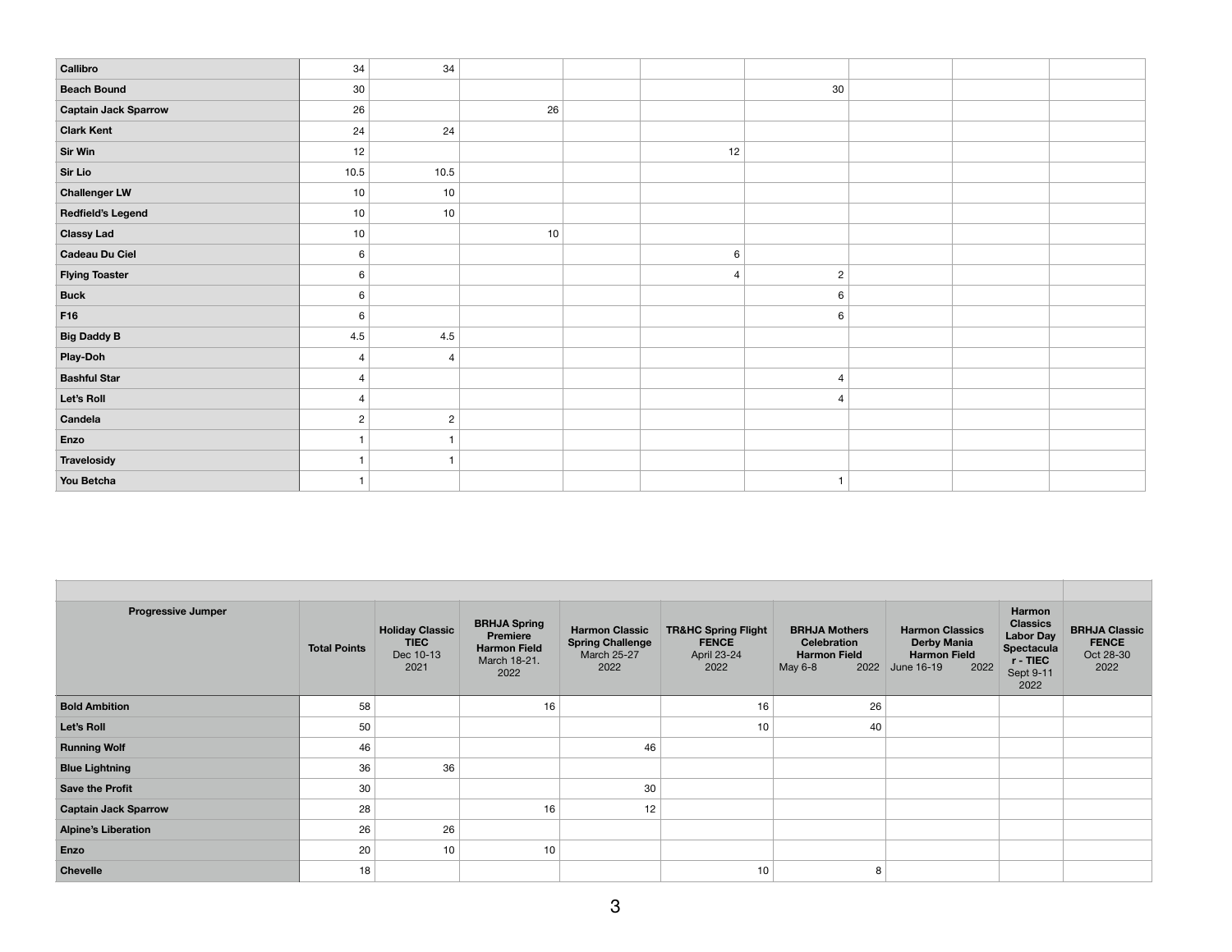| Callibro                    | 34             | 34             |    |                |                        |  |  |
|-----------------------------|----------------|----------------|----|----------------|------------------------|--|--|
| <b>Beach Bound</b>          | $30\,$         |                |    |                | 30                     |  |  |
| <b>Captain Jack Sparrow</b> | 26             |                | 26 |                |                        |  |  |
| <b>Clark Kent</b>           | 24             | 24             |    |                |                        |  |  |
| <b>Sir Win</b>              | 12             |                |    | 12             |                        |  |  |
| Sir Lio                     | 10.5           | 10.5           |    |                |                        |  |  |
| <b>Challenger LW</b>        | 10             | 10             |    |                |                        |  |  |
| <b>Redfield's Legend</b>    | 10             | 10             |    |                |                        |  |  |
| <b>Classy Lad</b>           | 10             |                | 10 |                |                        |  |  |
| <b>Cadeau Du Ciel</b>       | 6              |                |    | 6              |                        |  |  |
| <b>Flying Toaster</b>       | 6              |                |    | $\overline{4}$ | $\overline{c}$         |  |  |
| <b>Buck</b>                 | 6              |                |    |                | 6                      |  |  |
| F16                         | 6              |                |    |                | 6                      |  |  |
| <b>Big Daddy B</b>          | 4.5            | $4.5\,$        |    |                |                        |  |  |
| Play-Doh                    | $\overline{4}$ | $\overline{4}$ |    |                |                        |  |  |
| <b>Bashful Star</b>         | $\overline{4}$ |                |    |                | $\boldsymbol{\Lambda}$ |  |  |
| Let's Roll                  | $\overline{4}$ |                |    |                | $\Lambda$              |  |  |
| Candela                     | $\overline{c}$ | $\overline{c}$ |    |                |                        |  |  |
| Enzo                        |                |                |    |                |                        |  |  |
| Travelosidy                 |                |                |    |                |                        |  |  |
| You Betcha                  |                |                |    |                | $\overline{1}$         |  |  |

| <b>Progressive Jumper</b>   | <b>Total Points</b> | <b>Holiday Classic</b><br><b>TIEC</b><br>Dec 10-13<br>2021 | <b>BRHJA Spring</b><br>Premiere<br><b>Harmon Field</b><br>March 18-21.<br>2022 | <b>Harmon Classic</b><br><b>Spring Challenge</b><br>March 25-27<br>2022 | <b>TR&amp;HC Spring Flight</b><br><b>FENCE</b><br>April 23-24<br>2022 | <b>BRHJA Mothers</b><br><b>Celebration</b><br><b>Harmon Field</b><br>May 6-8 | <b>Harmon Classics</b><br><b>Derby Mania</b><br><b>Harmon Field</b><br>2022<br>2022 June 16-19 | Harmon<br><b>Classics</b><br><b>Labor Day</b><br>Spectacula<br>r - TIEC<br>Sept 9-11<br>2022 | <b>BRHJA Classic</b><br><b>FENCE</b><br>Oct 28-30<br>2022 |
|-----------------------------|---------------------|------------------------------------------------------------|--------------------------------------------------------------------------------|-------------------------------------------------------------------------|-----------------------------------------------------------------------|------------------------------------------------------------------------------|------------------------------------------------------------------------------------------------|----------------------------------------------------------------------------------------------|-----------------------------------------------------------|
| <b>Bold Ambition</b>        | 58                  |                                                            | 16                                                                             |                                                                         | 16                                                                    | 26                                                                           |                                                                                                |                                                                                              |                                                           |
| Let's Roll                  | 50                  |                                                            |                                                                                |                                                                         | 10                                                                    | 40                                                                           |                                                                                                |                                                                                              |                                                           |
| <b>Running Wolf</b>         | 46                  |                                                            |                                                                                | 46                                                                      |                                                                       |                                                                              |                                                                                                |                                                                                              |                                                           |
| <b>Blue Lightning</b>       | 36                  | 36                                                         |                                                                                |                                                                         |                                                                       |                                                                              |                                                                                                |                                                                                              |                                                           |
| <b>Save the Profit</b>      | 30                  |                                                            |                                                                                | 30                                                                      |                                                                       |                                                                              |                                                                                                |                                                                                              |                                                           |
| <b>Captain Jack Sparrow</b> | 28                  |                                                            | 16                                                                             | 12                                                                      |                                                                       |                                                                              |                                                                                                |                                                                                              |                                                           |
| <b>Alpine's Liberation</b>  | 26                  | 26                                                         |                                                                                |                                                                         |                                                                       |                                                                              |                                                                                                |                                                                                              |                                                           |
| Enzo                        | 20                  | 10                                                         | 10                                                                             |                                                                         |                                                                       |                                                                              |                                                                                                |                                                                                              |                                                           |
| <b>Chevelle</b>             | 18                  |                                                            |                                                                                |                                                                         | 10                                                                    | 8                                                                            |                                                                                                |                                                                                              |                                                           |